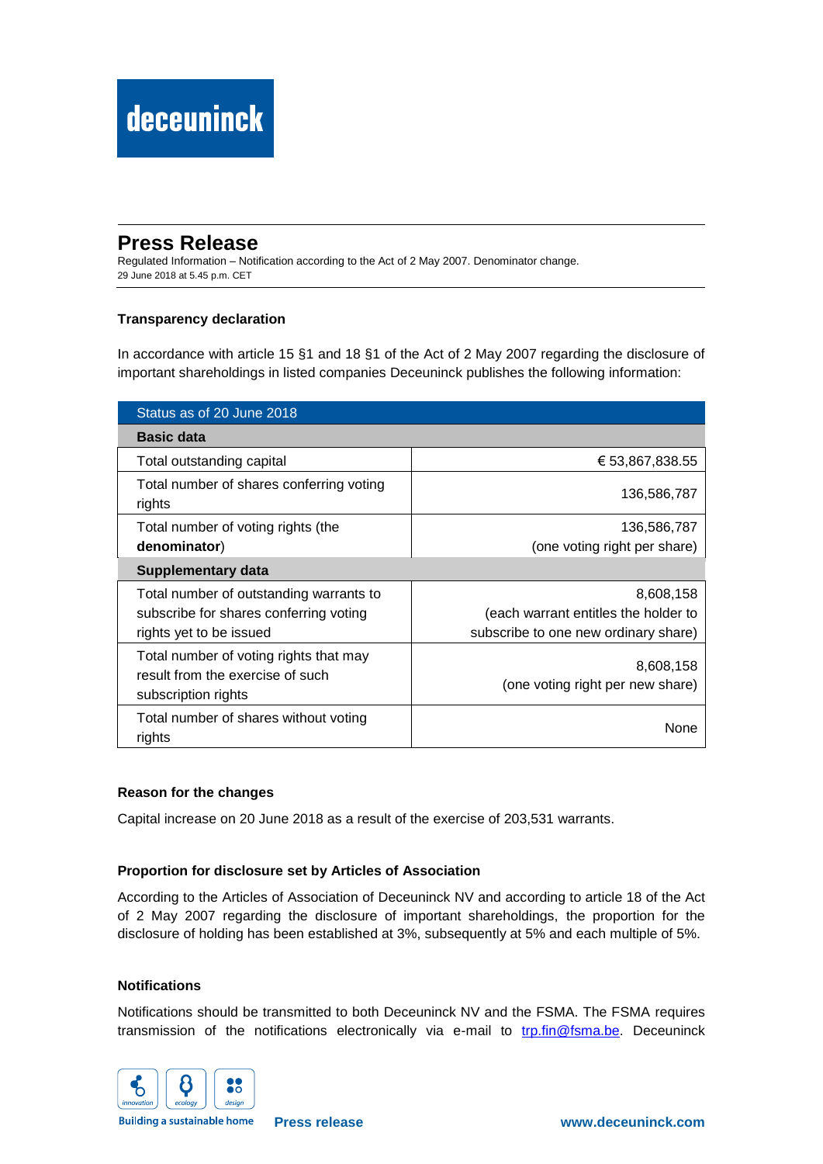## **Press Release**

Regulated Information – Notification according to the Act of 2 May 2007. Denominator change. 29 June 2018 at 5.45 p.m. CET

### **Transparency declaration**

In accordance with article 15 §1 and 18 §1 of the Act of 2 May 2007 regarding the disclosure of important shareholdings in listed companies Deceuninck publishes the following information:

| Status as of 20 June 2018                                                                         |                                               |
|---------------------------------------------------------------------------------------------------|-----------------------------------------------|
| <b>Basic data</b>                                                                                 |                                               |
| Total outstanding capital                                                                         | € 53,867,838.55                               |
| Total number of shares conferring voting<br>rights                                                | 136,586,787                                   |
| Total number of voting rights (the                                                                | 136,586,787                                   |
| denominator)                                                                                      | (one voting right per share)                  |
| Supplementary data                                                                                |                                               |
| Total number of outstanding warrants to                                                           | 8,608,158                                     |
| subscribe for shares conferring voting                                                            | (each warrant entitles the holder to          |
| rights yet to be issued                                                                           | subscribe to one new ordinary share)          |
| Total number of voting rights that may<br>result from the exercise of such<br>subscription rights | 8,608,158<br>(one voting right per new share) |
| Total number of shares without voting<br>rights                                                   | None                                          |

#### **Reason for the changes**

Capital increase on 20 June 2018 as a result of the exercise of 203,531 warrants.

#### **Proportion for disclosure set by Articles of Association**

According to the Articles of Association of Deceuninck NV and according to article 18 of the Act of 2 May 2007 regarding the disclosure of important shareholdings, the proportion for the disclosure of holding has been established at 3%, subsequently at 5% and each multiple of 5%.

#### **Notifications**

Notifications should be transmitted to both Deceuninck NV and the FSMA. The FSMA requires transmission of the notifications electronically via e-mail to [trp.fin@fsma.be.](mailto:trp.fin@fsma.be) Deceuninck



**Building a sustainable home**